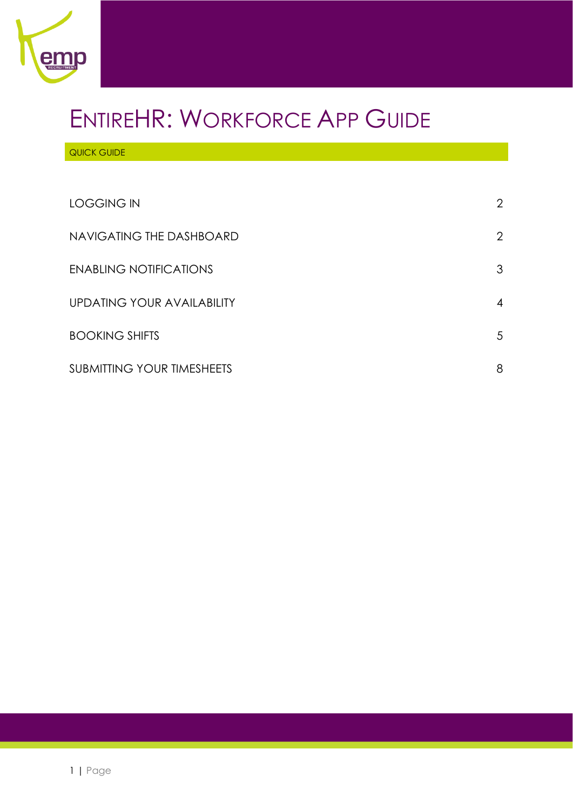

# ENTIREHR: WORKFORCE APP GUIDE

QUICK GUIDE

| LOGGING IN                    | $\overline{2}$ |
|-------------------------------|----------------|
| NAVIGATING THE DASHBOARD      | 2              |
| <b>ENABLING NOTIFICATIONS</b> | 3              |
| UPDATING YOUR AVAILABILITY    | $\overline{4}$ |
| <b>BOOKING SHIFTS</b>         | 5              |
| SUBMITTING YOUR TIMESHEETS    | 8              |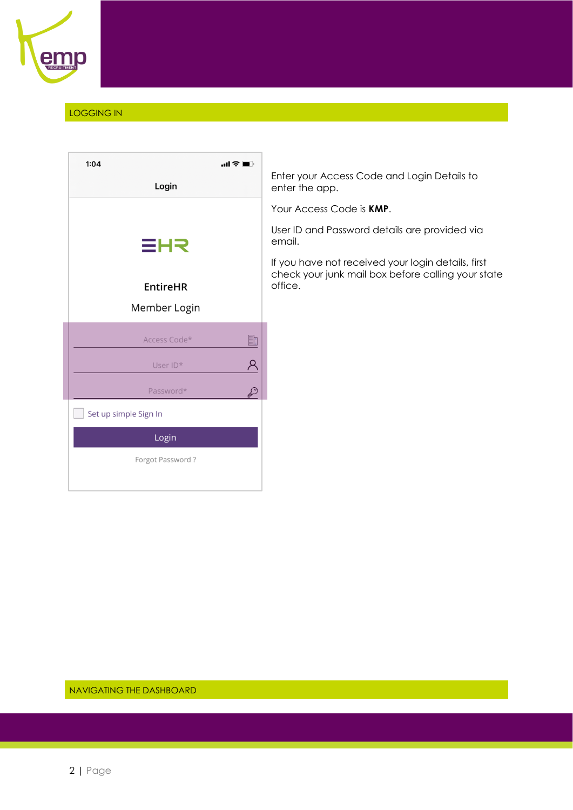

# <span id="page-1-0"></span>LOGGING IN

| 1:04 |                       | $\ln$ $\mathcal{F}$ $\blacksquare$ |
|------|-----------------------|------------------------------------|
|      | Login                 |                                    |
|      |                       |                                    |
|      |                       |                                    |
|      | ≣HR                   |                                    |
|      |                       |                                    |
|      | <b>EntireHR</b>       |                                    |
|      | Member Login          |                                    |
|      | Access Code*          | H                                  |
|      | User ID*              |                                    |
|      | Password*             |                                    |
|      | Set up simple Sign In |                                    |
|      | Login                 |                                    |
|      | Forgot Password?      |                                    |
|      |                       |                                    |

Enter your Access Code and Login Details to enter the app.

Your Access Code is **KMP**.

User ID and Password details are provided via email.

If you have not received your login details, first check your junk mail box before calling your state office.

<span id="page-1-1"></span>NAVIGATING THE DASHBOARD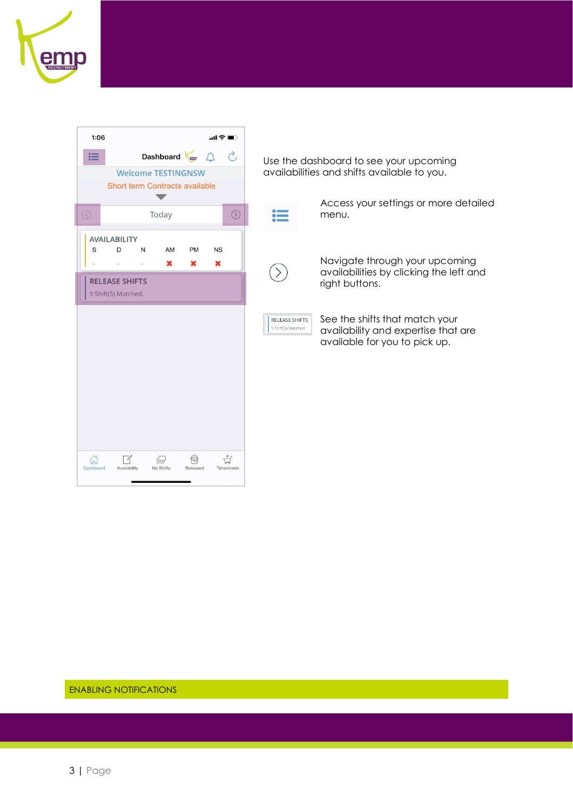

| 1:06<br>.ա ? ■ ]                                                                                                                     |                                                                                                                                                        |
|--------------------------------------------------------------------------------------------------------------------------------------|--------------------------------------------------------------------------------------------------------------------------------------------------------|
| Dashboard<br>這<br><b>Welcome TESTINGNSW</b><br>Short term Contracts available                                                        | Use the dashboard to see your upcoming<br>availabilities and shifts available to you.                                                                  |
| $\odot$<br>Today<br>$\odot$                                                                                                          | Access your settings or more detailed<br>menu.                                                                                                         |
| <b>AVAILABILITY</b><br>S<br>D<br>AM<br>PM<br><b>NS</b><br>N<br>$\mathbf x$<br>×<br>×<br><b>RELEASE SHIFTS</b><br>9 Shift(S) Matched. | Navigate through your upcoming<br>availabilities by clicking the left and<br>right buttons.                                                            |
|                                                                                                                                      | See the shifts that match your<br><b>RELEASE SHIFTS</b><br>9 Shift(S) Matched.<br>availability and expertise that are<br>available for you to pick up. |
|                                                                                                                                      |                                                                                                                                                        |
| ଈ<br>山<br>Ħ<br>My Shifts<br>Dashboard<br>Availability<br>Released<br>Timesheets                                                      |                                                                                                                                                        |

<span id="page-2-0"></span>ENABLING NOTIFICATIONS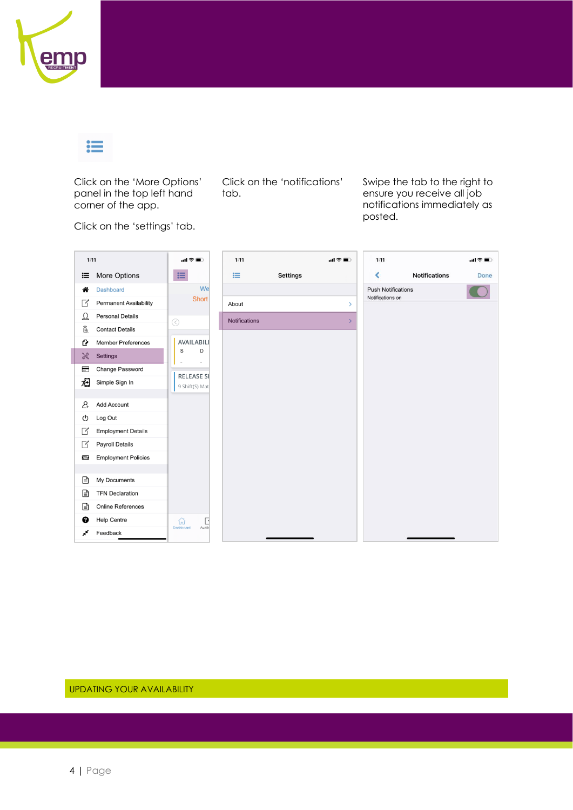

≔

Click on the 'More Options' panel in the top left hand corner of the app.

Click on the 'notifications' tab.

Swipe the tab to the right to ensure you receive all job notifications immediately as posted.

Click on the 'settings' tab.

| 1:11                     |                               | 。⊪⇔■。               | 1:11          |                 | all 令■        | 1:11                      |                      | all 全■ |
|--------------------------|-------------------------------|---------------------|---------------|-----------------|---------------|---------------------------|----------------------|--------|
| 這                        | More Options                  | 這                   | 這             | <b>Settings</b> |               | $\blacktriangleleft$      | <b>Notifications</b> | Done   |
| 各                        | <b>Dashboard</b>              | We                  |               |                 |               | <b>Push Notifications</b> |                      |        |
| $\Box$                   | <b>Permanent Availability</b> | Short               | About         |                 | $\rightarrow$ | Notifications on          |                      |        |
| $\mathfrak{Q}$           | <b>Personal Details</b>       | $\odot$             | Notifications |                 | $\mathcal{E}$ |                           |                      |        |
| ã                        | <b>Contact Details</b>        |                     |               |                 |               |                           |                      |        |
| Q                        | <b>Member Preferences</b>     | AVAILABILI          |               |                 |               |                           |                      |        |
| X                        | <b>Settings</b>               | S<br>D              |               |                 |               |                           |                      |        |
| ⊟                        | Change Password               | <b>RELEASE SH</b>   |               |                 |               |                           |                      |        |
| 洄                        | Simple Sign In                | 9 Shift(S) Mat      |               |                 |               |                           |                      |        |
|                          |                               |                     |               |                 |               |                           |                      |        |
| 2                        | <b>Add Account</b>            |                     |               |                 |               |                           |                      |        |
| ↻                        | Log Out                       |                     |               |                 |               |                           |                      |        |
| $\overline{\phantom{a}}$ | <b>Employment Details</b>     |                     |               |                 |               |                           |                      |        |
| K                        | <b>Payroll Details</b>        |                     |               |                 |               |                           |                      |        |
| Į                        | <b>Employment Policies</b>    |                     |               |                 |               |                           |                      |        |
|                          |                               |                     |               |                 |               |                           |                      |        |
| ⊟                        | My Documents                  |                     |               |                 |               |                           |                      |        |
| ⊟                        | <b>TFN Declaration</b>        |                     |               |                 |               |                           |                      |        |
| Ռ                        | <b>Online References</b>      |                     |               |                 |               |                           |                      |        |
| ❷                        | <b>Help Centre</b>            | 삶<br>H              |               |                 |               |                           |                      |        |
| ×                        | Feedback                      | Dashboard<br>Availa |               |                 |               |                           |                      |        |

<span id="page-3-0"></span>UPDATING YOUR AVAILABILITY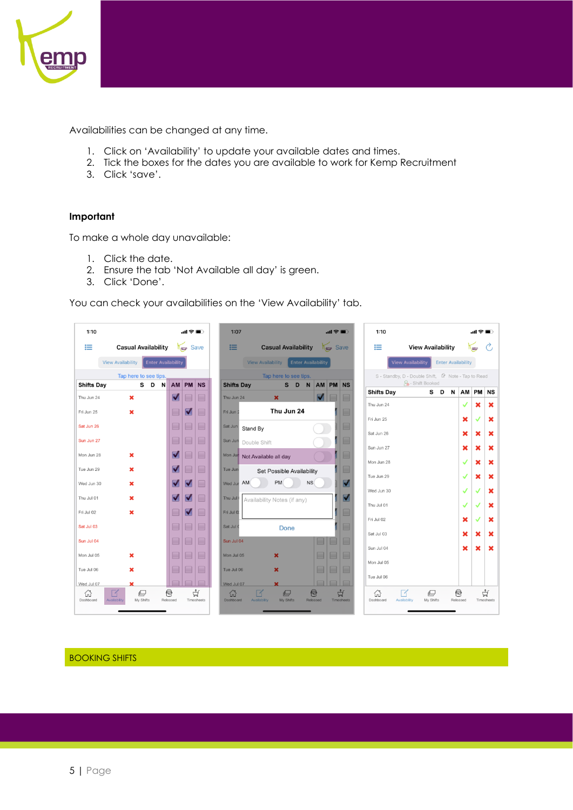

Availabilities can be changed at any time.

- 1. Click on 'Availability' to update your available dates and times.
- 2. Tick the boxes for the dates you are available to work for Kemp Recruitment
- 3. Click 'save'.

## **Important**

To make a whole day unavailable:

- 1. Click the date.
- 2. Ensure the tab 'Not Available all day' is green.
- 3. Click 'Done'.

You can check your availabilities on the 'View Availability' tab.



### <span id="page-4-0"></span>BOOKING SHIFTS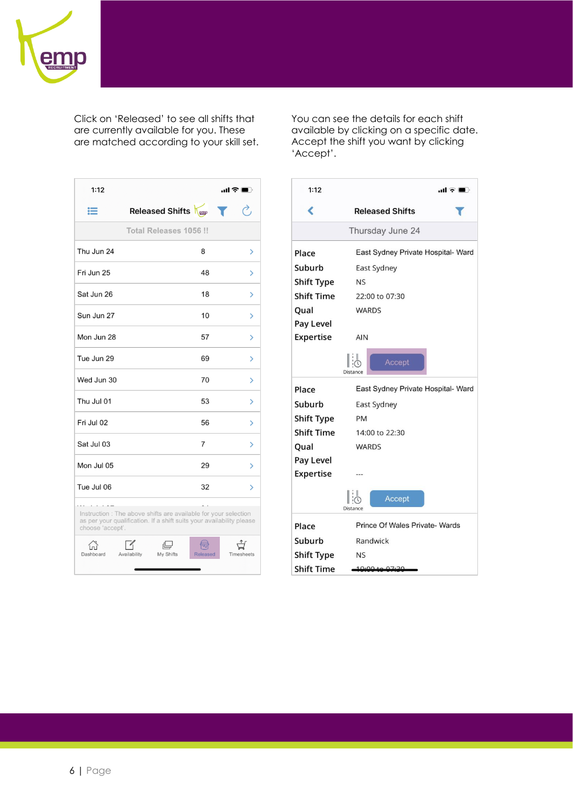

Click on 'Released' to see all shifts that are currently available for you. These are matched according to your skill set.

| 1:12             |                                                                                                                                         | ա1 ≎ ∎ր    |
|------------------|-----------------------------------------------------------------------------------------------------------------------------------------|------------|
| 這                | Released Shifts                                                                                                                         |            |
|                  | Total Releases 1056 !!                                                                                                                  |            |
| Thu Jun 24       | 8                                                                                                                                       | >          |
| Fri Jun 25       | 48                                                                                                                                      | ⋋          |
| Sat Jun 26       | 18                                                                                                                                      | ⋋          |
| Sun Jun 27       | 10                                                                                                                                      | ⋟          |
| Mon Jun 28       | 57                                                                                                                                      | ⋋          |
| Tue Jun 29       | 69                                                                                                                                      | ⋋          |
| Wed Jun 30       | 70                                                                                                                                      | ⋋          |
| Thu Jul 01       | 53                                                                                                                                      | ⋋          |
| Fri Jul 02       | 56                                                                                                                                      | ⋋          |
| Sat Jul 03       | $\overline{7}$                                                                                                                          | ⋋          |
| Mon Jul 05       | 29                                                                                                                                      | ⋋          |
| Tue Jul 06       | 32                                                                                                                                      | ⋋          |
| choose 'accept'. | Instruction : The above shifts are available for your selection<br>as per your qualification. If a shift suits your availability please |            |
| Dashboard        | بے<br>My Shifts<br>Availability<br>Released                                                                                             | Timesheets |

You can see the details for each shift available by clicking on a specific date. Accept the shift you want by clicking 'Accept'.

| 1:12              | al ÷ O                             |  |  |  |  |  |  |  |  |  |  |
|-------------------|------------------------------------|--|--|--|--|--|--|--|--|--|--|
| ∢                 | <b>Released Shifts</b>             |  |  |  |  |  |  |  |  |  |  |
|                   | Thursday June 24                   |  |  |  |  |  |  |  |  |  |  |
| Place             | East Sydney Private Hospital- Ward |  |  |  |  |  |  |  |  |  |  |
| Suburb            | East Sydney                        |  |  |  |  |  |  |  |  |  |  |
| <b>Shift Type</b> | <b>NS</b>                          |  |  |  |  |  |  |  |  |  |  |
| <b>Shift Time</b> | 22:00 to 07:30                     |  |  |  |  |  |  |  |  |  |  |
| Qual              | <b>WARDS</b>                       |  |  |  |  |  |  |  |  |  |  |
| Pay Level         |                                    |  |  |  |  |  |  |  |  |  |  |
| Expertise         | <b>AIN</b>                         |  |  |  |  |  |  |  |  |  |  |
|                   | Accept                             |  |  |  |  |  |  |  |  |  |  |
| Place             | East Sydney Private Hospital- Ward |  |  |  |  |  |  |  |  |  |  |
| Suburb            | East Sydney                        |  |  |  |  |  |  |  |  |  |  |
| <b>Shift Type</b> | PM                                 |  |  |  |  |  |  |  |  |  |  |
| <b>Shift Time</b> | 14:00 to 22:30                     |  |  |  |  |  |  |  |  |  |  |
| Qual              | <b>WARDS</b>                       |  |  |  |  |  |  |  |  |  |  |
| Pay Level         |                                    |  |  |  |  |  |  |  |  |  |  |
| <b>Expertise</b>  |                                    |  |  |  |  |  |  |  |  |  |  |
|                   | Accept                             |  |  |  |  |  |  |  |  |  |  |
| Place             | Prince Of Wales Private- Wards     |  |  |  |  |  |  |  |  |  |  |
| Suburb            | Randwick                           |  |  |  |  |  |  |  |  |  |  |
| <b>Shift Type</b> | <b>NS</b>                          |  |  |  |  |  |  |  |  |  |  |
| <b>Shift Time</b> | 10:00 to 07:20                     |  |  |  |  |  |  |  |  |  |  |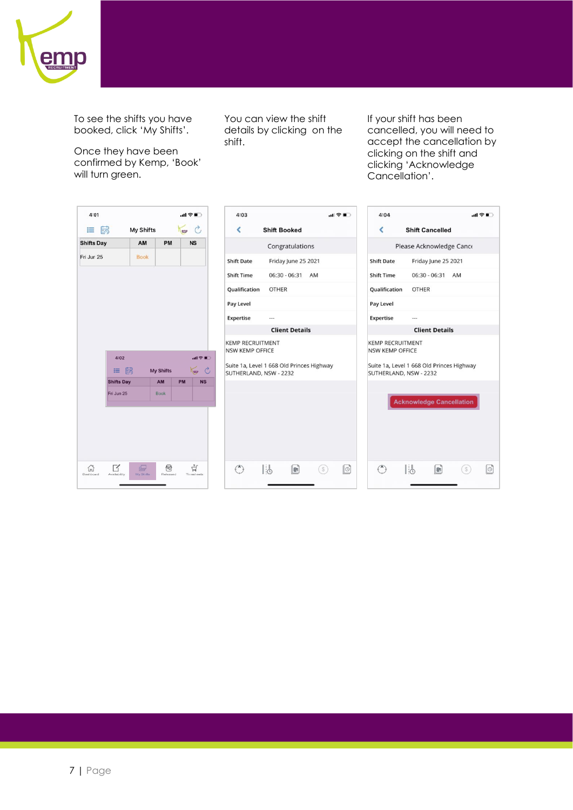

To see the shifts you have booked, click 'My Shifts'.

Once they have been confirmed by Kemp, 'Book' will turn green.

You can view the shift details by clicking on the shift.

If your shift has been cancelled, you will need to accept the cancellation by clicking on the shift and clicking 'Acknowledge Cancellation'.

| 4:01              |                            |                  |                  |           | …… 全日→                             | 4:03                                                                |              |                       |     | 山金町 | 4:04                                              |                                                                     |     | $\mathbf{d} \otimes \mathbf{E}$ |
|-------------------|----------------------------|------------------|------------------|-----------|------------------------------------|---------------------------------------------------------------------|--------------|-----------------------|-----|-----|---------------------------------------------------|---------------------------------------------------------------------|-----|---------------------------------|
| 這                 | 最                          | <b>My Shifts</b> |                  | emp       | $\mathcal{C}$                      | ∢                                                                   |              | <b>Shift Booked</b>   |     |     | ∢                                                 | <b>Shift Cancelled</b>                                              |     |                                 |
| <b>Shifts Day</b> |                            | AM               | PM               |           | <b>NS</b>                          |                                                                     |              | Congratulations       |     |     |                                                   | Please Acknowledge Cance                                            |     |                                 |
| Fri Jun 25        |                            | <b>Book</b>      |                  |           |                                    | <b>Shift Date</b>                                                   |              | Friday June 25 2021   |     |     | <b>Shift Date</b>                                 | Friday June 25 2021                                                 |     |                                 |
|                   |                            |                  |                  |           |                                    | <b>Shift Time</b>                                                   |              | 06:30 - 06:31         | AM  |     | <b>Shift Time</b>                                 | 06:30 - 06:31 AM                                                    |     |                                 |
|                   |                            |                  |                  |           |                                    | Qualification                                                       | <b>OTHER</b> |                       |     |     | Qualification                                     | <b>OTHER</b>                                                        |     |                                 |
|                   |                            |                  |                  |           |                                    | Pay Level                                                           |              |                       |     |     | Pay Level                                         |                                                                     |     |                                 |
|                   |                            |                  |                  |           |                                    | <b>Expertise</b>                                                    | $***$        |                       |     |     | <b>Expertise</b>                                  | ---                                                                 |     |                                 |
|                   |                            |                  |                  |           |                                    |                                                                     |              | <b>Client Details</b> |     |     |                                                   | <b>Client Details</b>                                               |     |                                 |
|                   | 4:02                       |                  |                  |           | $\mathbf{d} \otimes \mathbf{E}$    | <b>KEMP RECRUITMENT</b><br><b>NSW KEMP OFFICE</b>                   |              |                       |     |     | <b>KEMP RECRUITMENT</b><br><b>NSW KEMP OFFICE</b> |                                                                     |     |                                 |
|                   | 最<br>11                    |                  | <b>My Shifts</b> |           | Tomp C                             | Suite 1a, Level 1 668 Old Princes Highway<br>SUTHERLAND, NSW - 2232 |              |                       |     |     |                                                   | Suite 1a, Level 1 668 Old Princes Highway<br>SUTHERLAND, NSW - 2232 |     |                                 |
|                   | <b>Shifts Day</b>          |                  | AM               | <b>PM</b> | <b>NS</b>                          |                                                                     |              |                       |     |     |                                                   |                                                                     |     |                                 |
|                   | Fri Jun 25                 |                  | <b>Book</b>      |           |                                    |                                                                     |              |                       |     |     |                                                   | <b>Acknowledge Cancellation</b>                                     |     |                                 |
| 合<br>Dashboard    | $\sqrt{ }$<br>Availability | e<br>My Shifts   | €<br>Released    |           | $\overrightarrow{H}$<br>Timesheets | (                                                                   | 1:6          | d                     | (s) | O   | ⊖                                                 | l:5<br>$\bullet$                                                    | (s) | $\lVert \circ \rVert$           |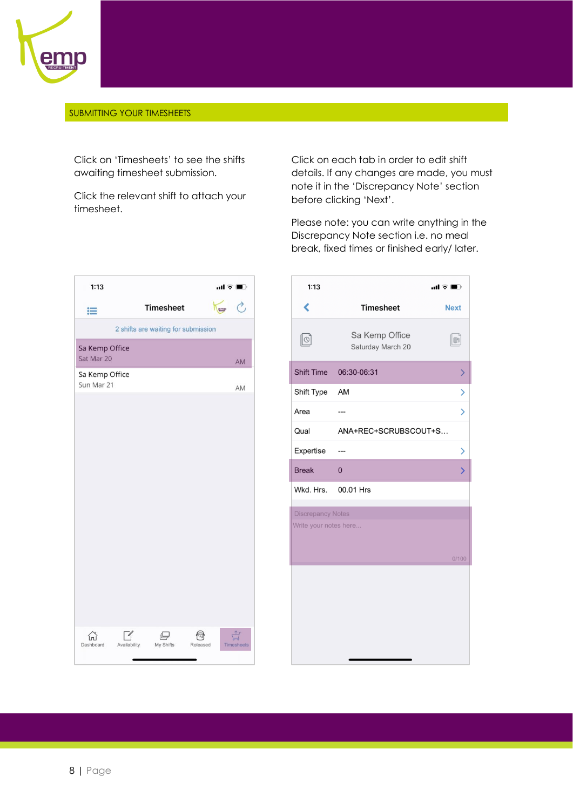

#### <span id="page-7-0"></span>SUBMITTING YOUR TIMESHEETS

Click on 'Timesheets' to see the shifts awaiting timesheet submission.

Click the relevant shift to attach your timesheet.

Click on each tab in order to edit shift details. If any changes are made, you must note it in the 'Discrepancy Note' section before clicking 'Next'.

Please note: you can write anything in the Discrepancy Note section i.e. no meal break, fixed times or finished early/ later.

| 1:13                                       |                                     | $\mathbf{m} \in \mathbf{m}$ |
|--------------------------------------------|-------------------------------------|-----------------------------|
| 這                                          | <b>Timesheet</b>                    | →,<br>emp                   |
|                                            | 2 shifts are waiting for submission |                             |
| Sa Kemp Office<br>Sat Mar 20               |                                     | AM                          |
| Sa Kemp Office<br>Sun Mar 21               |                                     | AM                          |
|                                            |                                     |                             |
|                                            |                                     |                             |
|                                            |                                     |                             |
|                                            |                                     |                             |
|                                            |                                     |                             |
|                                            |                                     |                             |
|                                            |                                     |                             |
|                                            |                                     |                             |
|                                            |                                     |                             |
| $\mathscr{O}$<br>Dashboard<br>Availability | 心<br>My Shifts                      | Released<br>Timesheets      |